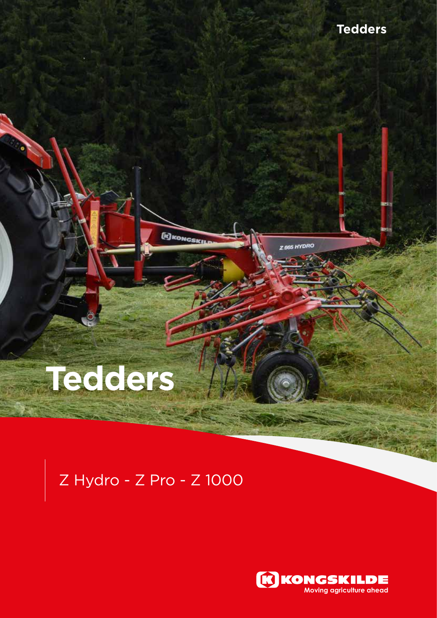# **Tedders**

# Z Hydro - Z Pro - Z 1000

**ED KONGSKILE** 



Z 665 HYDRO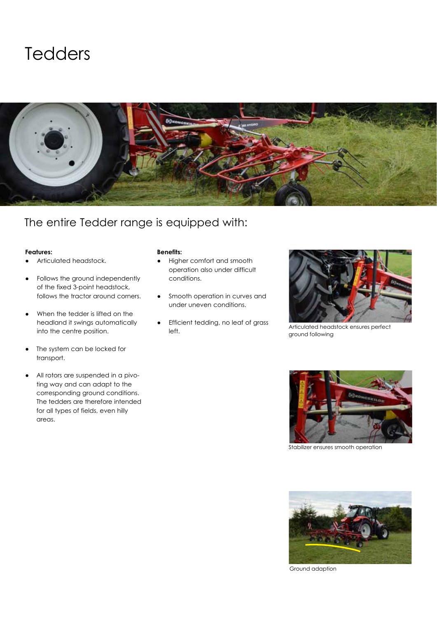



### The entire Tedder range is equipped with:

#### **Features:**

- Articulated headstock.
- Follows the ground independently of the fixed 3-point headstock, follows the tractor around corners.
- When the tedder is lifted on the headland it swings automatically into the centre position.
- The system can be locked for transport.
- All rotors are suspended in a pivoting way and can adapt to the corresponding ground conditions. The tedders are therefore intended for all types of fields, even hilly areas.

#### **Benefits:**

- ● Higher comfort and smooth operation also under difficult conditions.
- Smooth operation in curves and under uneven conditions.
- Efficient tedding, no leaf of grass left.



Articulated headstock ensures perfect ground following



Stabilizer ensures smooth operation



Ground adaption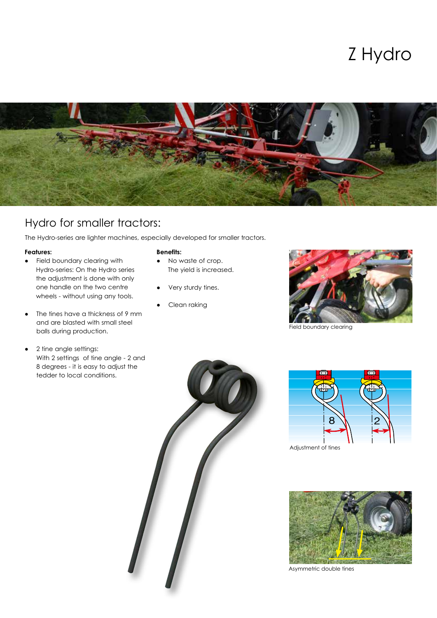## Z Hydro



### Hydro for smaller tractors:

The Hydro-series are lighter machines, especially developed for smaller tractors.

#### **Features:**

- ● Field boundary clearing with Hydro-series: On the Hydro series the adjustment is done with only one handle on the two centre wheels - without using any tools.
- The tines have a thickness of 9 mm and are blasted with small steel balls during production.
- 2 tine angle settings: With 2 settings of tine angle - 2 and 8 degrees - it is easy to adjust the tedder to local conditions.

#### **Benefits:**

- ● No waste of crop. The yield is increased.
- Very sturdy tines.
- Clean raking



Field boundary clearing





Adjustment of tines



Asymmetric double tines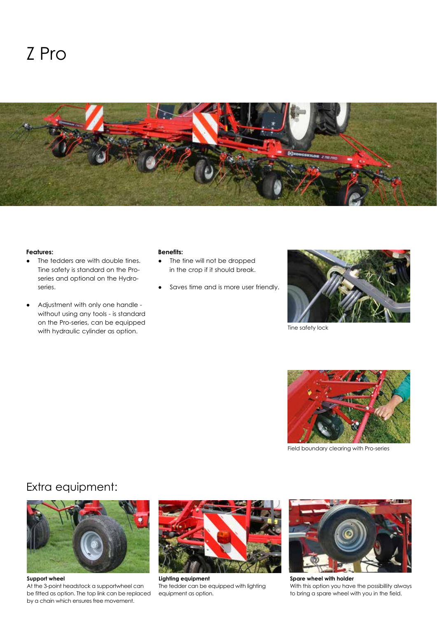

#### **Features:**

- The tedders are with double tines. Tine safety is standard on the Proseries and optional on the Hydroseries.
- Adjustment with only one handle without using any tools - is standard on the Pro-series, can be equipped with hydraulic cylinder as option.

#### **Benefits:**

- The tine will not be dropped in the crop if it should break.
- Saves time and is more user friendly.



Tine safety lock



Field boundary clearing with Pro-series

### Extra equipment:



At the 3-point headstock a supportwheel can be fitted as option. The top link can be replaced by a chain which ensures free movement.



**Lighting equipment** The tedder can be equipped with lighting equipment as option.



**Spare wheel with holder** With this option you have the possibillity always to bring a spare wheel with you in the field.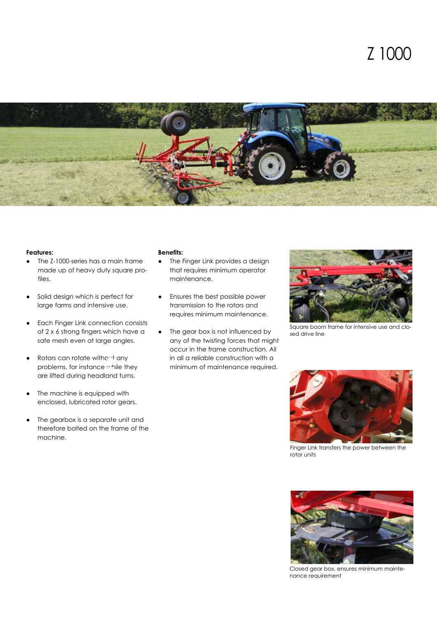

#### **Features:**

- ● The Z-1000-series has a main frame made up of heavy duty square profiles.
- Solid design which is perfect for large farms and intensive use.
- **Each Finger Link connection consists** of 2 x 6 strong fingers which have a safe mesh even at large angles.
- $\bullet$  Rotors can rotate without any problems, for instance while they are lifted during headland turns.
- The machine is equipped with enclosed, lubricated rotor gears.
- The gearbox is a separate unit and therefore bolted on the frame of the machine.

#### **Benefits:**

- The Finger Link provides a design that requires minimum operator maintenance.
- Ensures the best possible power transmission to the rotors and requires minimum maintenance.
- The gear box is not influenced by any of the twisting forces that might occur in the frame construction. All in all a reliable construction with a minimum of maintenance required.



Square boom frame for intensive use and closed drive line



Finger Link transfers the power between the rotor units



Closed gear box, ensures minimum maintenance requirement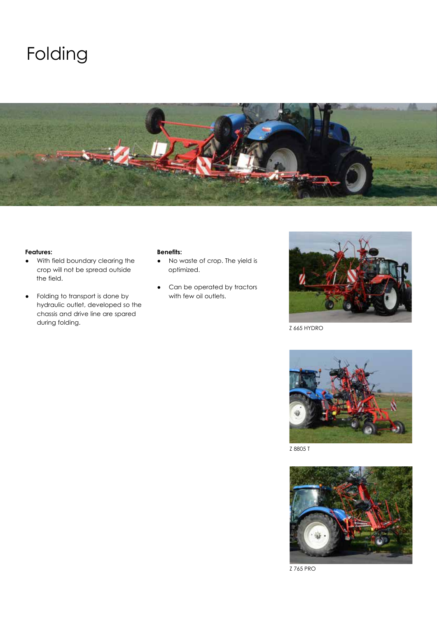# Folding



#### **Features:**

- ● With field boundary clearing the crop will not be spread outside the field.
- Folding to transport is done by hydraulic outlet, developed so the chassis and drive line are spared during folding.

#### **Benefits:**

- ● No waste of crop. The yield is optimized.
- Can be operated by tractors with few oil outlets.



Z 665 HYDRO



Z 8805 T



Z 765 PRO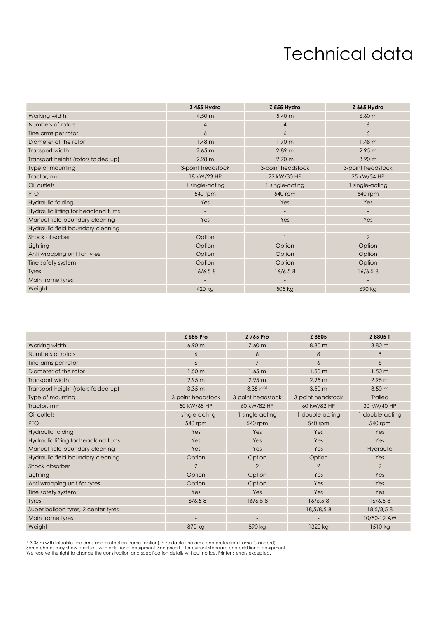### Technical data

|                                      | Z 455 Hydro       | Z 555 Hydro       | Z 665 Hydro       |
|--------------------------------------|-------------------|-------------------|-------------------|
| Working width                        | 4.50 m            | 5.40 m            | 6.60 m            |
| Numbers of rotors                    | $\overline{4}$    | 4                 | 6                 |
| Tine arms per rotor                  | $\overline{6}$    | 6                 | 6                 |
| Diameter of the rotor                | 1.48 <sub>m</sub> | 1.70 m            | 1.48 <sub>m</sub> |
| Transport width                      | 2.65 m            | 2.89 m            | 2.95 m            |
| Transport height (rotors folded up)  | 2.28 m            | 2.70 m            | 3.20 <sub>m</sub> |
| Type of mounting                     | 3-point headstock | 3-point headstock | 3-point headstock |
| Tractor, min                         | 18 kW/23 HP       | 22 kW/30 HP       | 25 kW/34 HP       |
| Oil outlets                          | I single-acting   | 1 single-acting   | 1 single-acting   |
| <b>PTO</b>                           | 540 rpm           | 540 rpm           | 540 rpm           |
| Hydraulic folding                    | Yes               | Yes               | Yes               |
| Hydraulic lifting for headland turns |                   |                   |                   |
| Manual field boundary cleaning       | Yes               | Yes               | Yes               |
| Hydraulic field boundary cleaning    |                   |                   |                   |
| Shock absorber                       | Option            |                   | $\overline{2}$    |
| Lighting                             | Option            | Option            | Option            |
| Anti wrapping unit for tyres         | Option            | Option            | Option            |
| Tine safety system                   | Option            | Option            | Option            |
| <b>Tyres</b>                         | $16/6.5 - 8$      | $16/6.5 - 8$      | $16/6.5 - 8$      |
| Main frame tyres                     |                   |                   |                   |
| Weight                               | 420 kg            | 505 kg            | 690 kg            |

|                                      | Z 685 Pro                | Z 765 Pro                | Z 8805            | Z 8805 T          |
|--------------------------------------|--------------------------|--------------------------|-------------------|-------------------|
| Working width                        | 6.90 <sub>m</sub>        | 7.60 <sub>m</sub>        | 8.80 m            | 8.80 m            |
| Numbers of rotors                    | 6                        | 6                        | 8                 | 8                 |
| Tine arms per rotor                  | 6                        | $\overline{7}$           | 6                 | 6                 |
| Diameter of the rotor                | 1.50 <sub>m</sub>        | 1.65 m                   | 1.50 <sub>m</sub> | 1.50 <sub>m</sub> |
| Transport width                      | 2.95 m                   | 2.95 m                   | 2.95 m            | 2.95 m            |
| Transport height (rotors folded up)  | 3.35 <sub>m</sub>        | $3.35 \text{ m}^2$       | 3.50 <sub>m</sub> | 3.50 <sub>m</sub> |
| Type of mounting                     | 3-point headstock        | 3-point headstock        | 3-point headstock | <b>Trailed</b>    |
| Tractor, min                         | 50 kW/68 HP              | 60 kW/82 HP              | 60 kW/82 HP       | 30 kW/40 HP       |
| Oil outlets                          | 1 single-acting          | 1 single-acting          | I double-acting   | 1 double-acting   |
| <b>PTO</b>                           | 540 rpm                  | 540 rpm                  | 540 rpm           | 540 rpm           |
| Hydraulic folding                    | Yes                      | Yes                      | Yes               | Yes               |
| Hydraulic lifting for headland turns | Yes                      | Yes                      | Yes               | Yes               |
| Manual field boundary cleaning       | Yes                      | Yes                      | Yes               | Hydraulic         |
| Hydraulic field boundary cleaning    | Option                   | Option                   | Option            | Yes               |
| Shock absorber                       | $\overline{2}$           | $\overline{2}$           | $\overline{2}$    | $\overline{2}$    |
| Lighting                             | Option                   | Option                   | Yes               | Yes               |
| Anti wrapping unit for tyres         | Option                   | Option                   | Yes               | Yes               |
| Tine safety system                   | Yes                      | Yes                      | Yes               | Yes               |
| <b>Tyres</b>                         | $16/6.5 - 8$             | $16/6.5 - 8$             | $16/6.5 - 8$      | $16/6.5 - 8$      |
| Super balloon tyres, 2 center tyres  |                          |                          | 18,5/8,5-8        | 18,5/8,5-8        |
| Main frame tyres                     | $\overline{\phantom{a}}$ | $\overline{\phantom{a}}$ |                   | 10/80-12 AW       |
| Weight                               | 870 kg                   | 890 kg                   | 1320 kg           | 1510 kg           |

<sup>1)</sup> 3,05 m with foldable tine arms and protection frame (option). <sup>2</sup>! Foldable tine arms and protection frame (standard).<br>Some photos may show products with additional equipment. See price list for current standard and a